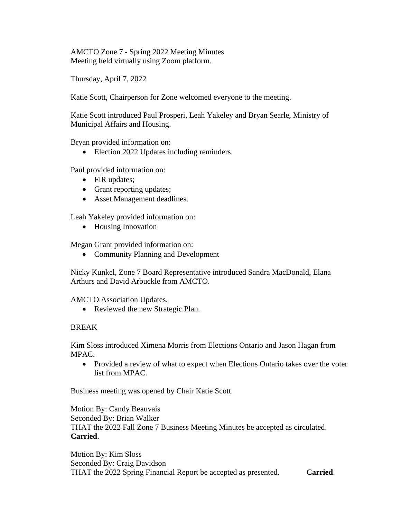AMCTO Zone 7 - Spring 2022 Meeting Minutes Meeting held virtually using Zoom platform.

Thursday, April 7, 2022

Katie Scott, Chairperson for Zone welcomed everyone to the meeting.

Katie Scott introduced Paul Prosperi, Leah Yakeley and Bryan Searle, Ministry of Municipal Affairs and Housing.

Bryan provided information on:

• Election 2022 Updates including reminders.

Paul provided information on:

- FIR updates;
- Grant reporting updates;
- Asset Management deadlines.

Leah Yakeley provided information on:

• Housing Innovation

Megan Grant provided information on:

• Community Planning and Development

Nicky Kunkel, Zone 7 Board Representative introduced Sandra MacDonald, Elana Arthurs and David Arbuckle from AMCTO.

AMCTO Association Updates.

• Reviewed the new Strategic Plan.

## BREAK

Kim Sloss introduced Ximena Morris from Elections Ontario and Jason Hagan from MPAC.

• Provided a review of what to expect when Elections Ontario takes over the voter list from MPAC.

Business meeting was opened by Chair Katie Scott.

Motion By: Candy Beauvais Seconded By: Brian Walker THAT the 2022 Fall Zone 7 Business Meeting Minutes be accepted as circulated. **Carried**.

Motion By: Kim Sloss Seconded By: Craig Davidson THAT the 2022 Spring Financial Report be accepted as presented. **Carried**.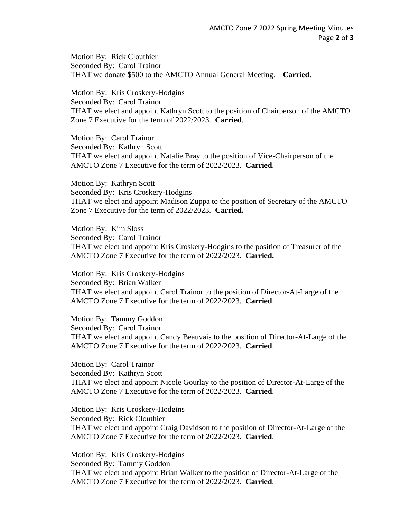Motion By: Rick Clouthier Seconded By: Carol Trainor THAT we donate \$500 to the AMCTO Annual General Meeting. **Carried**.

Motion By: Kris Croskery-Hodgins Seconded By: Carol Trainor THAT we elect and appoint Kathryn Scott to the position of Chairperson of the AMCTO Zone 7 Executive for the term of 2022/2023. **Carried**.

Motion By: Carol Trainor Seconded By: Kathryn Scott THAT we elect and appoint Natalie Bray to the position of Vice-Chairperson of the AMCTO Zone 7 Executive for the term of 2022/2023. **Carried**.

Motion By: Kathryn Scott Seconded By: Kris Croskery-Hodgins THAT we elect and appoint Madison Zuppa to the position of Secretary of the AMCTO Zone 7 Executive for the term of 2022/2023. **Carried.**

Motion By: Kim Sloss Seconded By: Carol Trainor THAT we elect and appoint Kris Croskery-Hodgins to the position of Treasurer of the AMCTO Zone 7 Executive for the term of 2022/2023. **Carried.**

Motion By: Kris Croskery-Hodgins Seconded By: Brian Walker THAT we elect and appoint Carol Trainor to the position of Director-At-Large of the AMCTO Zone 7 Executive for the term of 2022/2023. **Carried**.

Motion By: Tammy Goddon Seconded By: Carol Trainor THAT we elect and appoint Candy Beauvais to the position of Director-At-Large of the AMCTO Zone 7 Executive for the term of 2022/2023. **Carried**.

Motion By: Carol Trainor Seconded By: Kathryn Scott THAT we elect and appoint Nicole Gourlay to the position of Director-At-Large of the AMCTO Zone 7 Executive for the term of 2022/2023. **Carried**.

Motion By: Kris Croskery-Hodgins Seconded By: Rick Clouthier THAT we elect and appoint Craig Davidson to the position of Director-At-Large of the AMCTO Zone 7 Executive for the term of 2022/2023. **Carried**.

Motion By: Kris Croskery-Hodgins Seconded By: Tammy Goddon THAT we elect and appoint Brian Walker to the position of Director-At-Large of the AMCTO Zone 7 Executive for the term of 2022/2023. **Carried**.